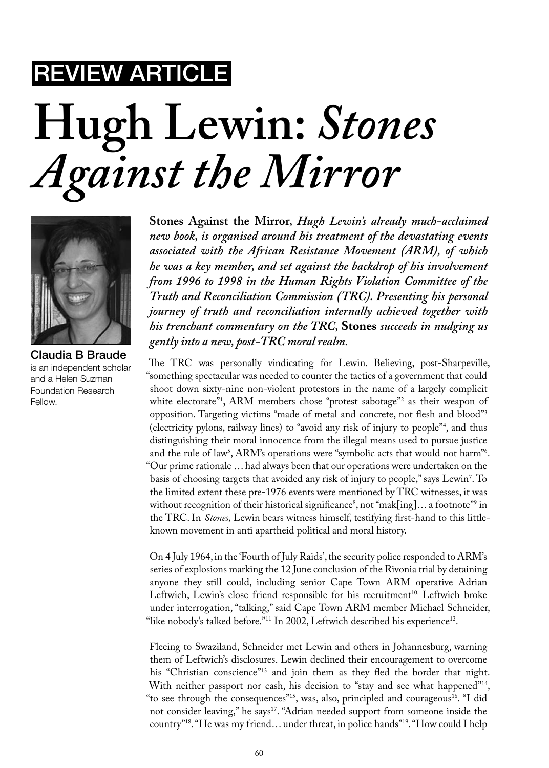## Review Article

## **Hugh Lewin:** *Stones Against the Mirror*



Claudia B Braude is an independent scholar and a Helen Suzman Foundation Research Fellow.

**Stones Against the Mirror***, Hugh Lewin's already much-acclaimed new book, is organised around his treatment of the devastating events associated with the African Resistance Movement (ARM), of which he was a key member, and set against the backdrop of his involvement from 1996 to 1998 in the Human Rights Violation Committee of the Truth and Reconciliation Commission (TRC). Presenting his personal journey of truth and reconciliation internally achieved together with his trenchant commentary on the TRC,* **Stones** *succeeds in nudging us gently into a new, post-TRC moral realm.* 

The TRC was personally vindicating for Lewin. Believing, post-Sharpeville, "something spectacular was needed to counter the tactics of a government that could shoot down sixty-nine non-violent protestors in the name of a largely complicit white electorate"1 , ARM members chose "protest sabotage"2 as their weapon of opposition. Targeting victims "made of metal and concrete, not flesh and blood"3 (electricity pylons, railway lines) to "avoid any risk of injury to people"4 , and thus distinguishing their moral innocence from the illegal means used to pursue justice and the rule of law<sup>5</sup>, ARM's operations were "symbolic acts that would not harm"<sup>6</sup>. "Our prime rationale … had always been that our operations were undertaken on the basis of choosing targets that avoided any risk of injury to people," says Lewin7 . To the limited extent these pre-1976 events were mentioned by TRC witnesses, it was without recognition of their historical significance", not "mak[ing]... a footnote"  $\frac{1}{2}$  in the TRC. In *Stones,* Lewin bears witness himself, testifying first-hand to this littleknown movement in anti apartheid political and moral history.

On 4 July 1964, in the 'Fourth of July Raids', the security police responded to ARM's series of explosions marking the 12 June conclusion of the Rivonia trial by detaining anyone they still could, including senior Cape Town ARM operative Adrian Leftwich, Lewin's close friend responsible for his recruitment<sup>10.</sup> Leftwich broke under interrogation, "talking," said Cape Town ARM member Michael Schneider, "like nobody's talked before."<sup>11</sup> In 2002, Leftwich described his experience<sup>12</sup>.

Fleeing to Swaziland, Schneider met Lewin and others in Johannesburg, warning them of Leftwich's disclosures. Lewin declined their encouragement to overcome his "Christian conscience"13 and join them as they fled the border that night. With neither passport nor cash, his decision to "stay and see what happened"<sup>14</sup>, "to see through the consequences"<sup>15</sup>, was, also, principled and courageous<sup>16</sup>. "I did not consider leaving," he says<sup>17</sup>. "Adrian needed support from someone inside the country"18. "He was my friend… under threat, in police hands"19. "How could I help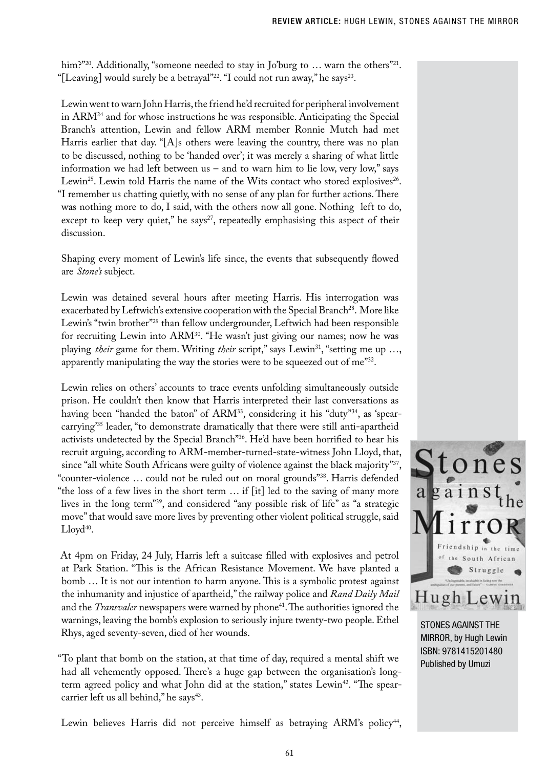him?"<sup>20</sup>. Additionally, "someone needed to stay in Jo'burg to ... warn the others"<sup>21</sup>. "[Leaving] would surely be a betrayal"<sup>22</sup>. "I could not run away," he says<sup>23</sup>.

Lewin went to warn John Harris, the friend he'd recruited for peripheral involvement in  $ARM<sup>24</sup>$  and for whose instructions he was responsible. Anticipating the Special Branch's attention, Lewin and fellow ARM member Ronnie Mutch had met Harris earlier that day. "[A]s others were leaving the country, there was no plan to be discussed, nothing to be 'handed over'; it was merely a sharing of what little information we had left between us – and to warn him to lie low, very low," says Lewin<sup>25</sup>. Lewin told Harris the name of the Wits contact who stored explosives<sup>26</sup>. "I remember us chatting quietly, with no sense of any plan for further actions. There was nothing more to do, I said, with the others now all gone. Nothing left to do, except to keep very quiet," he says<sup>27</sup>, repeatedly emphasising this aspect of their discussion.

Shaping every moment of Lewin's life since, the events that subsequently flowed are *Stone's* subject.

Lewin was detained several hours after meeting Harris. His interrogation was exacerbated by Leftwich's extensive cooperation with the Special Branch<sup>28</sup>. More like Lewin's "twin brother"<sup>29</sup> than fellow undergrounder, Leftwich had been responsible for recruiting Lewin into ARM<sup>30</sup>. "He wasn't just giving our names; now he was playing *their* game for them. Writing *their* script," says Lewin<sup>31</sup>, "setting me up ..., apparently manipulating the way the stories were to be squeezed out of me"32.

Lewin relies on others' accounts to trace events unfolding simultaneously outside prison. He couldn't then know that Harris interpreted their last conversations as having been "handed the baton" of ARM<sup>33</sup>, considering it his "duty"<sup>34</sup>, as 'spearcarrying'35 leader, "to demonstrate dramatically that there were still anti-apartheid activists undetected by the Special Branch"36. He'd have been horrified to hear his recruit arguing, according to ARM-member-turned-state-witness John Lloyd, that, since "all white South Africans were guilty of violence against the black majority"<sup>37</sup>, "counter-violence … could not be ruled out on moral grounds"38. Harris defended "the loss of a few lives in the short term … if [it] led to the saving of many more lives in the long term"39, and considered "any possible risk of life" as "a strategic move" that would save more lives by preventing other violent political struggle, said  $Lloyd^{40}$ .

At 4pm on Friday, 24 July, Harris left a suitcase filled with explosives and petrol at Park Station. "This is the African Resistance Movement. We have planted a bomb … It is not our intention to harm anyone. This is a symbolic protest against the inhumanity and injustice of apartheid," the railway police and *Rand Daily Mail*  and the *Transvaler* newspapers were warned by phone<sup>41</sup>. The authorities ignored the warnings, leaving the bomb's explosion to seriously injure twenty-two people. Ethel Rhys, aged seventy-seven, died of her wounds.

"To plant that bomb on the station, at that time of day, required a mental shift we had all vehemently opposed. There's a huge gap between the organisation's longterm agreed policy and what John did at the station," states Lewin<sup>42</sup>. "The spearcarrier left us all behind," he says<sup>43</sup>.



stones against the MIRROR, by Hugh Lewin ISBN: 9781415201480 Published by Umuzi

Lewin believes Harris did not perceive himself as betraying ARM's policy<sup>44</sup>,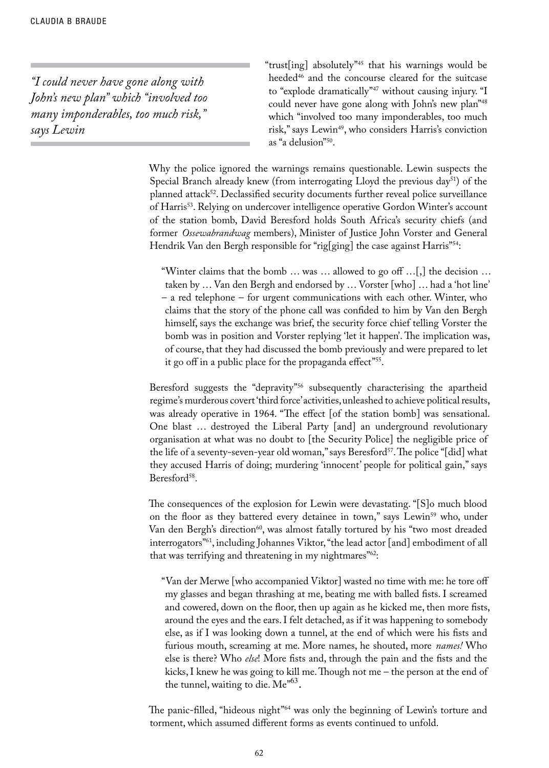*"I could never have gone along with John's new plan" which "involved too many imponderables, too much risk," says Lewin*

"trust[ing] absolutely"45 that his warnings would be heeded<sup>46</sup> and the concourse cleared for the suitcase to "explode dramatically"47 without causing injury. "I could never have gone along with John's new plan"48 which "involved too many imponderables, too much risk," says Lewin<sup>49</sup>, who considers Harris's conviction as "a delusion"50.

Why the police ignored the warnings remains questionable. Lewin suspects the Special Branch already knew (from interrogating Lloyd the previous day<sup>51</sup>) of the planned attack<sup>52</sup>. Declassified security documents further reveal police surveillance of Harris<sup>53</sup>. Relying on undercover intelligence operative Gordon Winter's account of the station bomb, David Beresford holds South Africa's security chiefs (and former *Ossewabrandwag* members), Minister of Justice John Vorster and General Hendrik Van den Bergh responsible for "rig[ging] the case against Harris"<sup>54</sup>:

"Winter claims that the bomb … was … allowed to go off …[,] the decision … taken by … Van den Bergh and endorsed by … Vorster [who] … had a 'hot line' – a red telephone – for urgent communications with each other. Winter, who claims that the story of the phone call was confided to him by Van den Bergh himself, says the exchange was brief, the security force chief telling Vorster the bomb was in position and Vorster replying 'let it happen'. The implication was, of course, that they had discussed the bomb previously and were prepared to let it go off in a public place for the propaganda effect"<sup>55</sup>.

Beresford suggests the "depravity"<sup>56</sup> subsequently characterising the apartheid regime's murderous covert 'third force' activities, unleashed to achieve political results, was already operative in 1964. "The effect [of the station bomb] was sensational. One blast … destroyed the Liberal Party [and] an underground revolutionary organisation at what was no doubt to [the Security Police] the negligible price of the life of a seventy-seven-year old woman," says Beresford<sup>57</sup>. The police "[did] what they accused Harris of doing; murdering 'innocent' people for political gain," says Beresford<sup>58</sup>.

The consequences of the explosion for Lewin were devastating. "[S]o much blood on the floor as they battered every detainee in town," says Lewin<sup>59</sup> who, under Van den Bergh's direction<sup>60</sup>, was almost fatally tortured by his "two most dreaded interrogators"61, including Johannes Viktor, "the lead actor [and] embodiment of all that was terrifying and threatening in my nightmares<sup>"62</sup>:

"Van der Merwe [who accompanied Viktor] wasted no time with me: he tore off my glasses and began thrashing at me, beating me with balled fists. I screamed and cowered, down on the floor, then up again as he kicked me, then more fists, around the eyes and the ears. I felt detached, as if it was happening to somebody else, as if I was looking down a tunnel, at the end of which were his fists and furious mouth, screaming at me. More names, he shouted, more *names!* Who else is there? Who *else*! More fists and, through the pain and the fists and the kicks, I knew he was going to kill me. Though not me – the person at the end of the tunnel, waiting to die.  $Me^{63}$ .

The panic-filled, "hideous night"<sup>64</sup> was only the beginning of Lewin's torture and torment, which assumed different forms as events continued to unfold.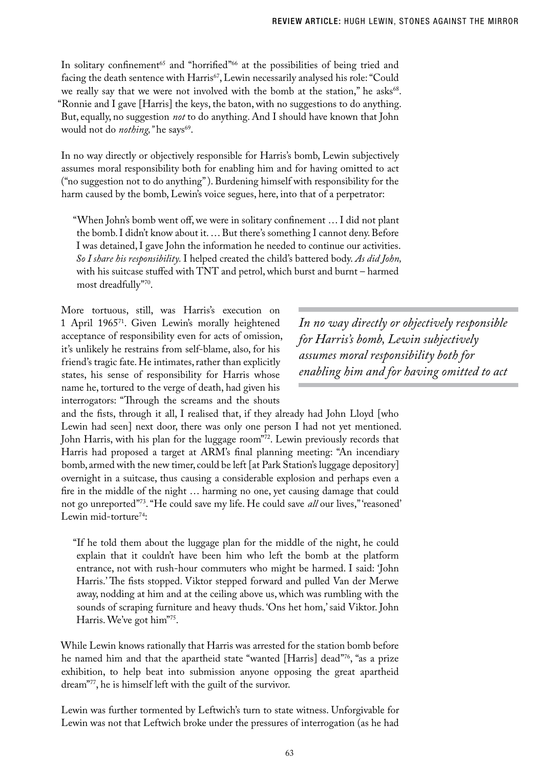In solitary confinement<sup>65</sup> and "horrified"<sup>66</sup> at the possibilities of being tried and facing the death sentence with Harris<sup>67</sup>, Lewin necessarily analysed his role: "Could we really say that we were not involved with the bomb at the station," he asks<sup>68</sup>. "Ronnie and I gave [Harris] the keys, the baton, with no suggestions to do anything. But, equally, no suggestion *not* to do anything. And I should have known that John would not do *nothing*, "he says<sup>69</sup>.

In no way directly or objectively responsible for Harris's bomb, Lewin subjectively assumes moral responsibility both for enabling him and for having omitted to act ("no suggestion not to do anything" ). Burdening himself with responsibility for the harm caused by the bomb, Lewin's voice segues, here, into that of a perpetrator:

"When John's bomb went off, we were in solitary confinement … I did not plant the bomb. I didn't know about it. … But there's something I cannot deny. Before I was detained, I gave John the information he needed to continue our activities. *So I share his responsibility.* I helped created the child's battered body. *As did John,*  with his suitcase stuffed with TNT and petrol, which burst and burnt – harmed most dreadfully"70.

More tortuous, still, was Harris's execution on 1 April 196571. Given Lewin's morally heightened acceptance of responsibility even for acts of omission, it's unlikely he restrains from self-blame, also, for his friend's tragic fate. He intimates, rather than explicitly states, his sense of responsibility for Harris whose name he, tortured to the verge of death, had given his interrogators: "Through the screams and the shouts

*In no way directly or objectively responsible for Harris's bomb, Lewin subjectively assumes moral responsibility both for enabling him and for having omitted to act*

and the fists, through it all, I realised that, if they already had John Lloyd [who Lewin had seen] next door, there was only one person I had not yet mentioned. John Harris, with his plan for the luggage room"72. Lewin previously records that Harris had proposed a target at ARM's final planning meeting: "An incendiary bomb, armed with the new timer, could be left [at Park Station's luggage depository] overnight in a suitcase, thus causing a considerable explosion and perhaps even a fire in the middle of the night … harming no one, yet causing damage that could not go unreported"73. "He could save my life. He could save *all* our lives," 'reasoned' Lewin mid-torture<sup>74</sup>:

"If he told them about the luggage plan for the middle of the night, he could explain that it couldn't have been him who left the bomb at the platform entrance, not with rush-hour commuters who might be harmed. I said: 'John Harris.' The fists stopped. Viktor stepped forward and pulled Van der Merwe away, nodding at him and at the ceiling above us, which was rumbling with the sounds of scraping furniture and heavy thuds. 'Ons het hom,' said Viktor. John Harris. We've got him"75.

While Lewin knows rationally that Harris was arrested for the station bomb before he named him and that the apartheid state "wanted [Harris] dead"76, "as a prize exhibition, to help beat into submission anyone opposing the great apartheid dream"77, he is himself left with the guilt of the survivor.

Lewin was further tormented by Leftwich's turn to state witness. Unforgivable for Lewin was not that Leftwich broke under the pressures of interrogation (as he had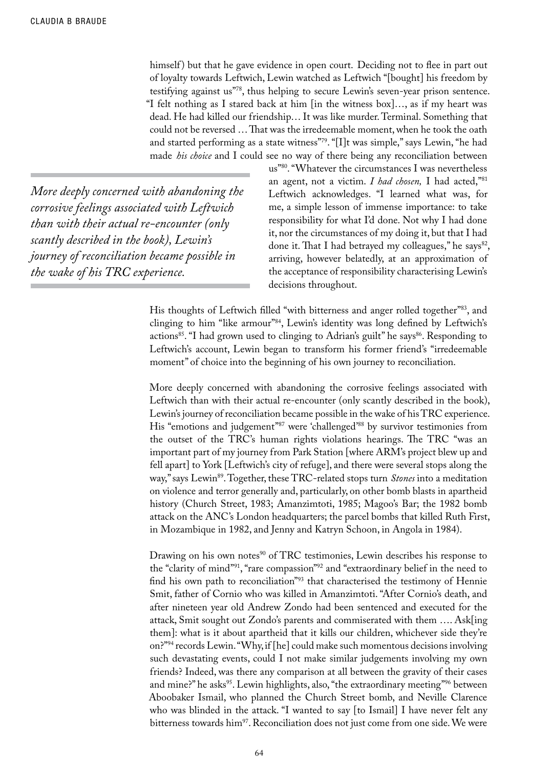himself) but that he gave evidence in open court. Deciding not to flee in part out of loyalty towards Leftwich, Lewin watched as Leftwich "[bought] his freedom by testifying against us"78, thus helping to secure Lewin's seven-year prison sentence. "I felt nothing as I stared back at him [in the witness box]…, as if my heart was dead. He had killed our friendship… It was like murder. Terminal. Something that could not be reversed … That was the irredeemable moment, when he took the oath and started performing as a state witness"79. "[I]t was simple," says Lewin, "he had made *his choice* and I could see no way of there being any reconciliation between

*More deeply concerned with abandoning the corrosive feelings associated with Leftwich than with their actual re-encounter (only scantly described in the book), Lewin's journey of reconciliation became possible in the wake of his TRC experience.* 

us"80. "Whatever the circumstances I was nevertheless an agent, not a victim. *I had chosen,* I had acted,"81 Leftwich acknowledges. "I learned what was, for me, a simple lesson of immense importance: to take responsibility for what I'd done. Not why I had done it, nor the circumstances of my doing it, but that I had done it. That I had betrayed my colleagues," he says<sup>82</sup>, arriving, however belatedly, at an approximation of the acceptance of responsibility characterising Lewin's decisions throughout.

His thoughts of Leftwich filled "with bitterness and anger rolled together"83, and clinging to him "like armour"84, Lewin's identity was long defined by Leftwich's actions<sup>85</sup>. "I had grown used to clinging to Adrian's guilt" he says<sup>86</sup>. Responding to Leftwich's account, Lewin began to transform his former friend's "irredeemable moment" of choice into the beginning of his own journey to reconciliation.

More deeply concerned with abandoning the corrosive feelings associated with Leftwich than with their actual re-encounter (only scantly described in the book), Lewin's journey of reconciliation became possible in the wake of his TRC experience. His "emotions and judgement"<sup>87</sup> were 'challenged'<sup>88</sup> by survivor testimonies from the outset of the TRC's human rights violations hearings. The TRC "was an important part of my journey from Park Station [where ARM's project blew up and fell apart] to York [Leftwich's city of refuge], and there were several stops along the way," says Lewin89. Together, these TRC-related stops turn *Stones* into a meditation on violence and terror generally and, particularly, on other bomb blasts in apartheid history (Church Street, 1983; Amanzimtoti, 1985; Magoo's Bar; the 1982 bomb attack on the ANC's London headquarters; the parcel bombs that killed Ruth First, in Mozambique in 1982, and Jenny and Katryn Schoon, in Angola in 1984).

Drawing on his own notes<sup>90</sup> of TRC testimonies, Lewin describes his response to the "clarity of mind"91, "rare compassion"92 and "extraordinary belief in the need to find his own path to reconciliation"93 that characterised the testimony of Hennie Smit, father of Cornio who was killed in Amanzimtoti. "After Cornio's death, and after nineteen year old Andrew Zondo had been sentenced and executed for the attack, Smit sought out Zondo's parents and commiserated with them …. Ask[ing them]: what is it about apartheid that it kills our children, whichever side they're on?"94 records Lewin. "Why, if [he] could make such momentous decisions involving such devastating events, could I not make similar judgements involving my own friends? Indeed, was there any comparison at all between the gravity of their cases and mine?" he asks<sup>95</sup>. Lewin highlights, also, "the extraordinary meeting"<sup>96</sup> between Aboobaker Ismail, who planned the Church Street bomb, and Neville Clarence who was blinded in the attack. "I wanted to say [to Ismail] I have never felt any bitterness towards him<sup>97</sup>. Reconciliation does not just come from one side. We were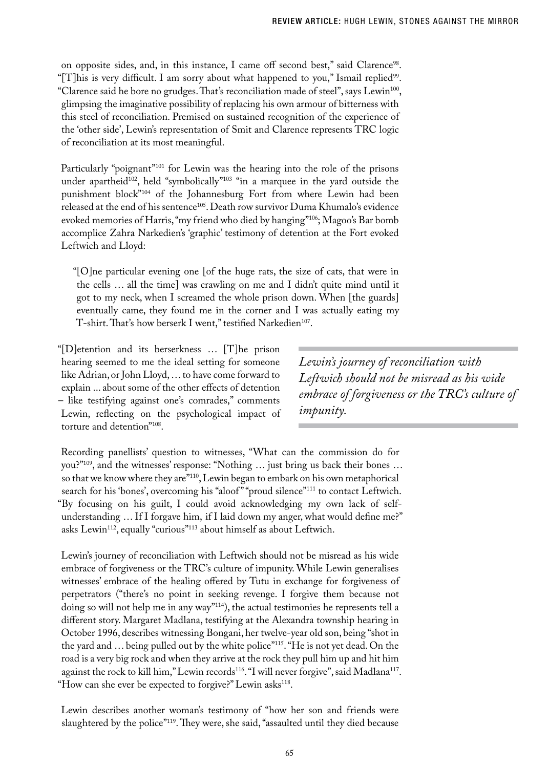on opposite sides, and, in this instance, I came off second best," said Clarence98. "[T]his is very difficult. I am sorry about what happened to you," Ismail replied $99$ . "Clarence said he bore no grudges. That's reconciliation made of steel", says Lewin<sup>100</sup>, glimpsing the imaginative possibility of replacing his own armour of bitterness with this steel of reconciliation. Premised on sustained recognition of the experience of the 'other side', Lewin's representation of Smit and Clarence represents TRC logic of reconciliation at its most meaningful.

Particularly "poignant"<sup>101</sup> for Lewin was the hearing into the role of the prisons under apartheid<sup>102</sup>, held "symbolically"<sup>103</sup> "in a marquee in the yard outside the punishment block"104 of the Johannesburg Fort from where Lewin had been released at the end of his sentence<sup>105</sup>. Death row survivor Duma Khumalo's evidence evoked memories of Harris, "my friend who died by hanging"106; Magoo's Bar bomb accomplice Zahra Narkedien's 'graphic' testimony of detention at the Fort evoked Leftwich and Lloyd:

"[O]ne particular evening one [of the huge rats, the size of cats, that were in the cells … all the time] was crawling on me and I didn't quite mind until it got to my neck, when I screamed the whole prison down. When [the guards] eventually came, they found me in the corner and I was actually eating my T-shirt. That's how berserk I went," testified Narkedien<sup>107</sup>.

"[D]etention and its berserkness … [T]he prison hearing seemed to me the ideal setting for someone like Adrian, or John Lloyd, … to have come forward to explain ... about some of the other effects of detention – like testifying against one's comrades," comments Lewin, reflecting on the psychological impact of torture and detention"108.

*Lewin's journey of reconciliation with Leftwich should not be misread as his wide embrace of forgiveness or the TRC's culture of impunity.*

Recording panellists' question to witnesses, "What can the commission do for you?"109, and the witnesses' response: "Nothing … just bring us back their bones … so that we know where they are"110, Lewin began to embark on his own metaphorical search for his 'bones', overcoming his "aloof" "proud silence"<sup>111</sup> to contact Leftwich. "By focusing on his guilt, I could avoid acknowledging my own lack of selfunderstanding … If I forgave him, if I laid down my anger, what would define me?" asks Lewin<sup>112</sup>, equally "curious"<sup>113</sup> about himself as about Leftwich.

Lewin's journey of reconciliation with Leftwich should not be misread as his wide embrace of forgiveness or the TRC's culture of impunity. While Lewin generalises witnesses' embrace of the healing offered by Tutu in exchange for forgiveness of perpetrators ("there's no point in seeking revenge. I forgive them because not doing so will not help me in any way"114), the actual testimonies he represents tell a different story. Margaret Madlana, testifying at the Alexandra township hearing in October 1996, describes witnessing Bongani, her twelve-year old son, being "shot in the yard and … being pulled out by the white police"115. "He is not yet dead. On the road is a very big rock and when they arrive at the rock they pull him up and hit him against the rock to kill him," Lewin records<sup>116</sup>. "I will never forgive", said Madlana<sup>117</sup>. "How can she ever be expected to forgive?" Lewin asks<sup>118</sup>.

Lewin describes another woman's testimony of "how her son and friends were slaughtered by the police"<sup>119</sup>. They were, she said, "assaulted until they died because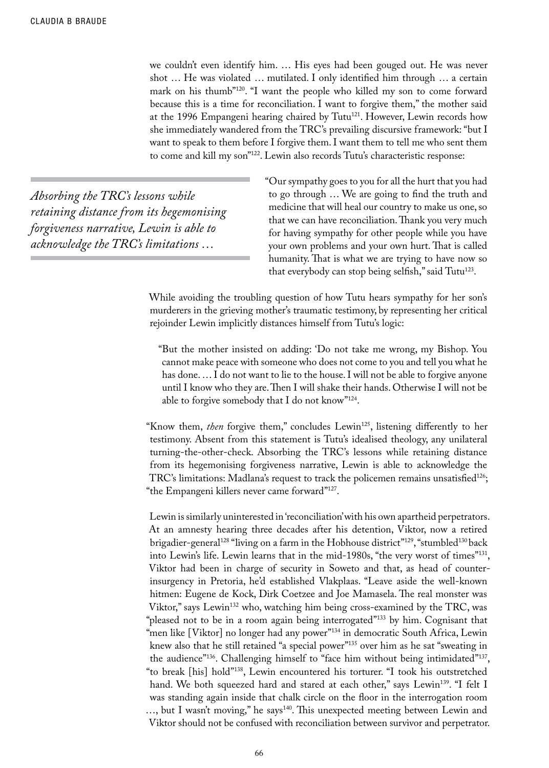we couldn't even identify him. … His eyes had been gouged out. He was never shot … He was violated … mutilated. I only identified him through … a certain mark on his thumb"<sup>120</sup>. "I want the people who killed my son to come forward because this is a time for reconciliation. I want to forgive them," the mother said at the 1996 Empangeni hearing chaired by Tutu<sup>121</sup>. However, Lewin records how she immediately wandered from the TRC's prevailing discursive framework: "but I want to speak to them before I forgive them. I want them to tell me who sent them to come and kill my son"122. Lewin also records Tutu's characteristic response:

*Absorbing the TRC's lessons while retaining distance from its hegemonising forgiveness narrative, Lewin is able to acknowledge the TRC's limitations …*

"Our sympathy goes to you for all the hurt that you had to go through … We are going to find the truth and medicine that will heal our country to make us one, so that we can have reconciliation. Thank you very much for having sympathy for other people while you have your own problems and your own hurt. That is called humanity. That is what we are trying to have now so that everybody can stop being selfish," said Tutu $^{123}$ .

While avoiding the troubling question of how Tutu hears sympathy for her son's murderers in the grieving mother's traumatic testimony, by representing her critical rejoinder Lewin implicitly distances himself from Tutu's logic:

"But the mother insisted on adding: 'Do not take me wrong, my Bishop. You cannot make peace with someone who does not come to you and tell you what he has done.  $\ldots$  I do not want to lie to the house. I will not be able to forgive anyone until I know who they are. Then I will shake their hands. Otherwise I will not be able to forgive somebody that I do not know"124.

"Know them, *then* forgive them," concludes Lewin<sup>125</sup>, listening differently to her testimony. Absent from this statement is Tutu's idealised theology, any unilateral turning-the-other-check. Absorbing the TRC's lessons while retaining distance from its hegemonising forgiveness narrative, Lewin is able to acknowledge the TRC's limitations: Madlana's request to track the policemen remains unsatisfied<sup>126</sup>; "the Empangeni killers never came forward"127.

Lewin is similarly uninterested in 'reconciliation' with his own apartheid perpetrators. At an amnesty hearing three decades after his detention, Viktor, now a retired brigadier-general<sup>128</sup> "living on a farm in the Hobhouse district"<sup>129</sup>, "stumbled<sup>130</sup> back into Lewin's life. Lewin learns that in the mid-1980s, "the very worst of times"131, Viktor had been in charge of security in Soweto and that, as head of counterinsurgency in Pretoria, he'd established Vlakplaas. "Leave aside the well-known hitmen: Eugene de Kock, Dirk Coetzee and Joe Mamasela. The real monster was Viktor," says Lewin132 who, watching him being cross-examined by the TRC, was "pleased not to be in a room again being interrogated"<sup>133</sup> by him. Cognisant that "men like [Viktor] no longer had any power"<sup>134</sup> in democratic South Africa, Lewin knew also that he still retained "a special power"135 over him as he sat "sweating in the audience"<sup>136</sup>. Challenging himself to "face him without being intimidated"<sup>137</sup>, "to break [his] hold"138, Lewin encountered his torturer. "I took his outstretched hand. We both squeezed hard and stared at each other," says Lewin<sup>139</sup>. "I felt I was standing again inside that chalk circle on the floor in the interrogation room ..., but I wasn't moving," he says<sup>140</sup>. This unexpected meeting between Lewin and Viktor should not be confused with reconciliation between survivor and perpetrator.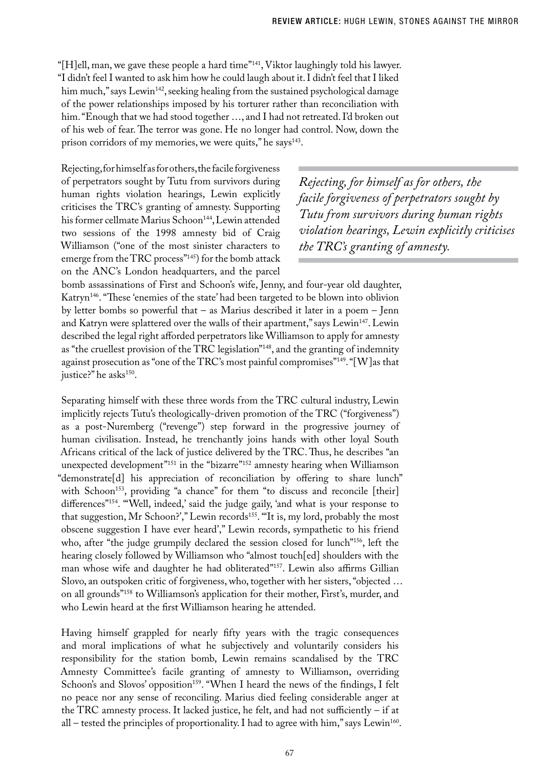"[H]ell, man, we gave these people a hard time"141, Viktor laughingly told his lawyer. "I didn't feel I wanted to ask him how he could laugh about it. I didn't feel that I liked him much," says Lewin<sup>142</sup>, seeking healing from the sustained psychological damage of the power relationships imposed by his torturer rather than reconciliation with him. "Enough that we had stood together …, and I had not retreated. I'd broken out of his web of fear. The terror was gone. He no longer had control. Now, down the prison corridors of my memories, we were quits," he says $143$ .

Rejecting, for himself as for others, the facile forgiveness of perpetrators sought by Tutu from survivors during human rights violation hearings, Lewin explicitly criticises the TRC's granting of amnesty. Supporting his former cellmate Marius Schoon<sup>144</sup>, Lewin attended two sessions of the 1998 amnesty bid of Craig Williamson ("one of the most sinister characters to emerge from the TRC process"145) for the bomb attack on the ANC's London headquarters, and the parcel

*Rejecting, for himself as for others, the facile forgiveness of perpetrators sought by Tutu from survivors during human rights violation hearings, Lewin explicitly criticises the TRC's granting of amnesty.*

bomb assassinations of First and Schoon's wife, Jenny, and four-year old daughter, Katryn146. "These 'enemies of the state' had been targeted to be blown into oblivion by letter bombs so powerful that – as Marius described it later in a poem – Jenn and Katryn were splattered over the walls of their apartment," says Lewin<sup>147</sup>. Lewin described the legal right afforded perpetrators like Williamson to apply for amnesty as "the cruellest provision of the TRC legislation"148, and the granting of indemnity against prosecution as "one of the TRC's most painful compromises"149. "[W]as that justice?" he asks<sup>150</sup>.

Separating himself with these three words from the TRC cultural industry, Lewin implicitly rejects Tutu's theologically-driven promotion of the TRC ("forgiveness") as a post-Nuremberg ("revenge") step forward in the progressive journey of human civilisation. Instead, he trenchantly joins hands with other loyal South Africans critical of the lack of justice delivered by the TRC. Thus, he describes "an unexpected development<sup>"151</sup> in the "bizarre<sup>"152</sup> amnesty hearing when Williamson "demonstrate[d] his appreciation of reconciliation by offering to share lunch" with Schoon<sup>153</sup>, providing "a chance" for them "to discuss and reconcile [their] differences"<sup>154</sup>. "Well, indeed,' said the judge gaily, 'and what is your response to that suggestion, Mr Schoon?'," Lewin records<sup>155</sup>. "It is, my lord, probably the most obscene suggestion I have ever heard'," Lewin records, sympathetic to his friend who, after "the judge grumpily declared the session closed for lunch"<sup>156</sup>, left the hearing closely followed by Williamson who "almost touch[ed] shoulders with the man whose wife and daughter he had obliterated"157. Lewin also affirms Gillian Slovo, an outspoken critic of forgiveness, who, together with her sisters, "objected … on all grounds"158 to Williamson's application for their mother, First's, murder, and who Lewin heard at the first Williamson hearing he attended.

Having himself grappled for nearly fifty years with the tragic consequences and moral implications of what he subjectively and voluntarily considers his responsibility for the station bomb, Lewin remains scandalised by the TRC Amnesty Committee's facile granting of amnesty to Williamson, overriding Schoon's and Slovos' opposition<sup>159</sup>. "When I heard the news of the findings, I felt no peace nor any sense of reconciling. Marius died feeling considerable anger at the TRC amnesty process. It lacked justice, he felt, and had not sufficiently – if at all – tested the principles of proportionality. I had to agree with him," says Lewin<sup>160</sup>.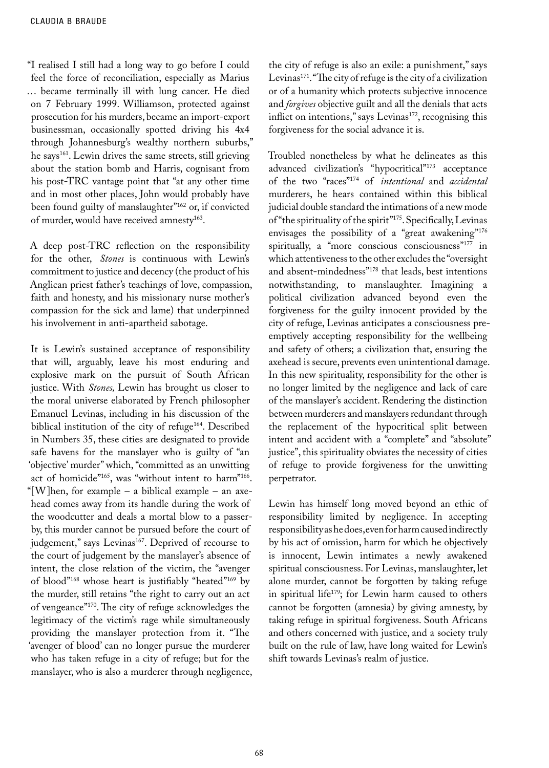"I realised I still had a long way to go before I could feel the force of reconciliation, especially as Marius … became terminally ill with lung cancer. He died on 7 February 1999. Williamson, protected against prosecution for his murders, became an import-export businessman, occasionally spotted driving his 4x4 through Johannesburg's wealthy northern suburbs," he says<sup>161</sup>. Lewin drives the same streets, still grieving about the station bomb and Harris, cognisant from his post-TRC vantage point that "at any other time and in most other places, John would probably have been found guilty of manslaughter"162 or, if convicted of murder, would have received amnesty<sup>163</sup>.

A deep post-TRC reflection on the responsibility for the other, *Stones* is continuous with Lewin's commitment to justice and decency (the product of his Anglican priest father's teachings of love, compassion, faith and honesty, and his missionary nurse mother's compassion for the sick and lame) that underpinned his involvement in anti-apartheid sabotage.

It is Lewin's sustained acceptance of responsibility that will, arguably, leave his most enduring and explosive mark on the pursuit of South African justice. With *Stones,* Lewin has brought us closer to the moral universe elaborated by French philosopher Emanuel Levinas, including in his discussion of the biblical institution of the city of refuge $164$ . Described in Numbers 35, these cities are designated to provide safe havens for the manslayer who is guilty of "an 'objective' murder" which, "committed as an unwitting act of homicide"<sup>165</sup>, was "without intent to harm"<sup>166</sup>. "[W]hen, for example – a biblical example – an axehead comes away from its handle during the work of the woodcutter and deals a mortal blow to a passerby, this murder cannot be pursued before the court of judgement," says Levinas<sup>167</sup>. Deprived of recourse to the court of judgement by the manslayer's absence of intent, the close relation of the victim, the "avenger of blood"168 whose heart is justifiably "heated"169 by the murder, still retains "the right to carry out an act of vengeance"170. The city of refuge acknowledges the legitimacy of the victim's rage while simultaneously providing the manslayer protection from it. "The 'avenger of blood' can no longer pursue the murderer who has taken refuge in a city of refuge; but for the manslayer, who is also a murderer through negligence, the city of refuge is also an exile: a punishment," says Levinas<sup>171</sup>. "The city of refuge is the city of a civilization or of a humanity which protects subjective innocence and *forgives* objective guilt and all the denials that acts inflict on intentions," says Levinas<sup>172</sup>, recognising this forgiveness for the social advance it is.

Troubled nonetheless by what he delineates as this advanced civilization's "hypocritical"173 acceptance of the two "races"174 of *intentional* and *accidental*  murderers, he hears contained within this biblical judicial double standard the intimations of a new mode of "the spirituality of the spirit"175. Specifically, Levinas envisages the possibility of a "great awakening"<sup>176</sup> spiritually, a "more conscious consciousness"<sup>177</sup> in which attentiveness to the other excludes the "oversight and absent-mindedness"178 that leads, best intentions notwithstanding, to manslaughter. Imagining a political civilization advanced beyond even the forgiveness for the guilty innocent provided by the city of refuge, Levinas anticipates a consciousness preemptively accepting responsibility for the wellbeing and safety of others; a civilization that, ensuring the axehead is secure, prevents even unintentional damage. In this new spirituality, responsibility for the other is no longer limited by the negligence and lack of care of the manslayer's accident. Rendering the distinction between murderers and manslayers redundant through the replacement of the hypocritical split between intent and accident with a "complete" and "absolute" justice", this spirituality obviates the necessity of cities of refuge to provide forgiveness for the unwitting perpetrator.

Lewin has himself long moved beyond an ethic of responsibility limited by negligence. In accepting responsibility as he does, even for harm caused indirectly by his act of omission, harm for which he objectively is innocent, Lewin intimates a newly awakened spiritual consciousness. For Levinas, manslaughter, let alone murder, cannot be forgotten by taking refuge in spiritual life<sup>179</sup>; for Lewin harm caused to others cannot be forgotten (amnesia) by giving amnesty, by taking refuge in spiritual forgiveness. South Africans and others concerned with justice, and a society truly built on the rule of law, have long waited for Lewin's shift towards Levinas's realm of justice.